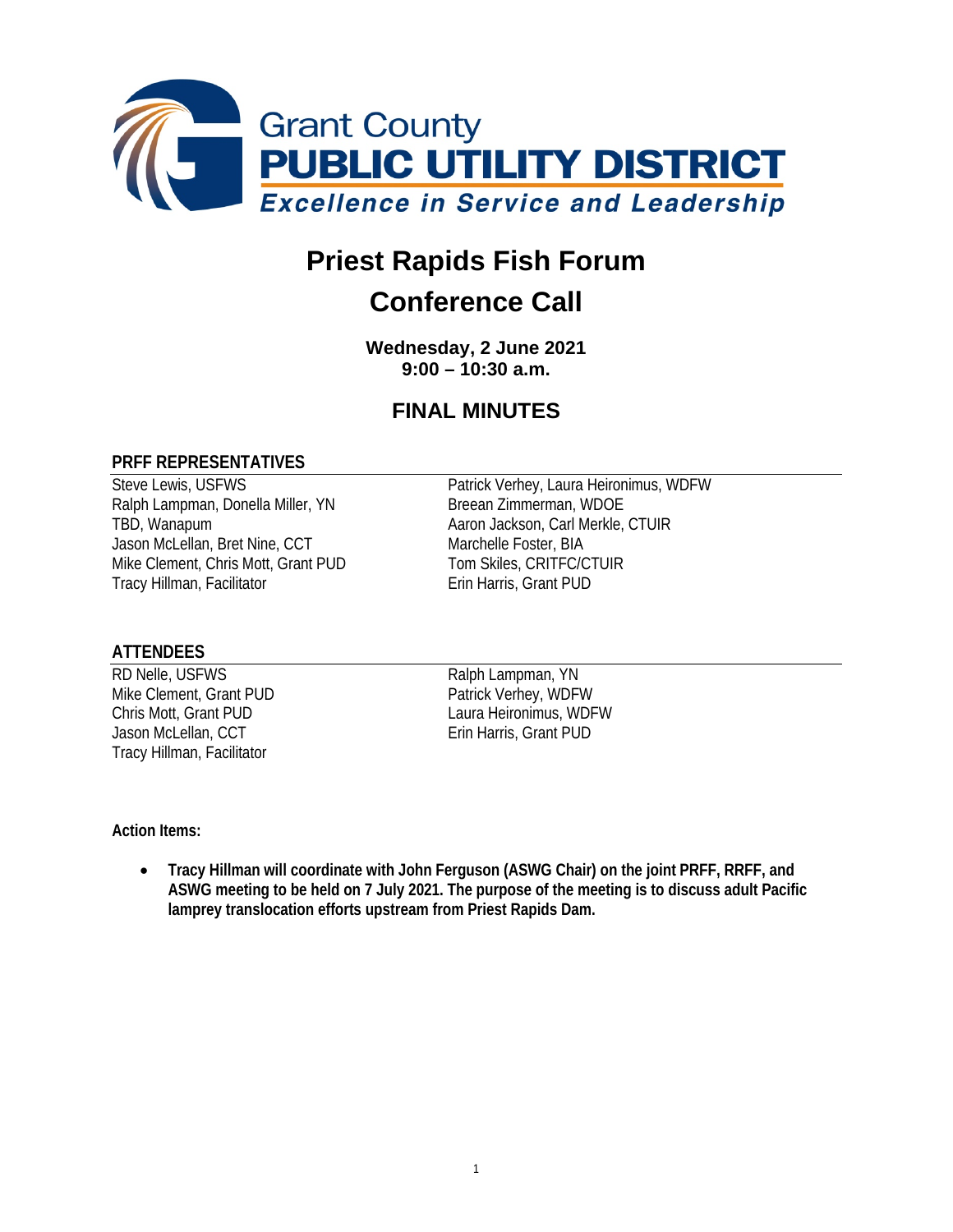

# **Priest Rapids Fish Forum**

## **Conference Call**

**Wednesday, 2 June 2021 9:00 – 10:30 a.m.**

### **FINAL MINUTES**

#### **PRFF REPRESENTATIVES**

Ralph Lampman, Donella Miller, YN TBD, Wanapum **Acker Access 19 Aaron Jackson, Carl Merkle, CTUIR** Jason McLellan, Bret Nine, CCT Marchelle Foster, BIA Mike Clement, Chris Mott, Grant PUD Tom Skiles, CRITFC/CTUIR Tracy Hillman, Facilitator **Example 20 Francis** Erin Harris, Grant PUD

Steve Lewis, USFWS<br>
Ralph Lampman, Donella Miller, YN<br>
Breean Zimmerman, WDOE<br>
Patrick Verhey, Laura Heironimus, WDFW

#### **ATTENDEES**

RD Nelle, USFWS<br>
Mike Clement, Grant PUD<br>
Patrick Verhey, WDFW Mike Clement, Grant PUD<br>Chris Mott, Grant PUD Jason McLellan, CCT **Erin Harris**, Grant PUD Tracy Hillman, Facilitator

Laura Heironimus, WDFW

#### **Action Items:**

• **Tracy Hillman will coordinate with John Ferguson (ASWG Chair) on the joint PRFF, RRFF, and ASWG meeting to be held on 7 July 2021. The purpose of the meeting is to discuss adult Pacific lamprey translocation efforts upstream from Priest Rapids Dam.**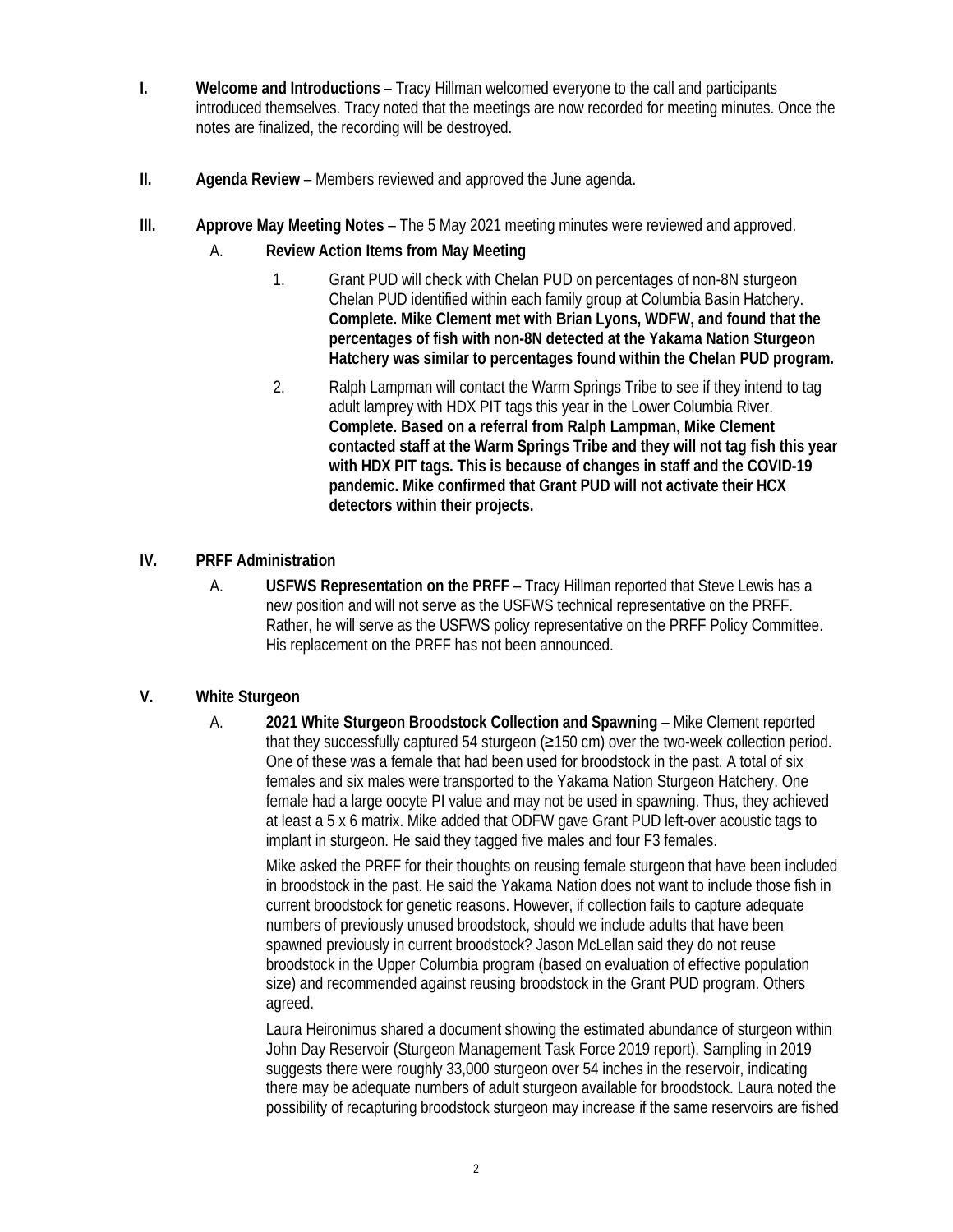- **I. Welcome and Introductions** Tracy Hillman welcomed everyone to the call and participants introduced themselves. Tracy noted that the meetings are now recorded for meeting minutes. Once the notes are finalized, the recording will be destroyed.
- **II. Agenda Review** Members reviewed and approved the June agenda.
- **III. Approve May Meeting Notes** The 5 May 2021 meeting minutes were reviewed and approved.
	- A. **Review Action Items from May Meeting** 
		- 1. Grant PUD will check with Chelan PUD on percentages of non-8N sturgeon Chelan PUD identified within each family group at Columbia Basin Hatchery. **Complete. Mike Clement met with Brian Lyons, WDFW, and found that the percentages of fish with non-8N detected at the Yakama Nation Sturgeon Hatchery was similar to percentages found within the Chelan PUD program.**
		- 2. Ralph Lampman will contact the Warm Springs Tribe to see if they intend to tag adult lamprey with HDX PIT tags this year in the Lower Columbia River. **Complete. Based on a referral from Ralph Lampman, Mike Clement contacted staff at the Warm Springs Tribe and they will not tag fish this year with HDX PIT tags. This is because of changes in staff and the COVID-19 pandemic. Mike confirmed that Grant PUD will not activate their HCX detectors within their projects.**
- **IV. PRFF Administration** 
	- A. **USFWS Representation on the PRFF** Tracy Hillman reported that Steve Lewis has a new position and will not serve as the USFWS technical representative on the PRFF. Rather, he will serve as the USFWS policy representative on the PRFF Policy Committee. His replacement on the PRFF has not been announced.

#### **V. White Sturgeon**

A. **2021 White Sturgeon Broodstock Collection and Spawning** – Mike Clement reported that they successfully captured 54 sturgeon (≥150 cm) over the two-week collection period. One of these was a female that had been used for broodstock in the past. A total of six females and six males were transported to the Yakama Nation Sturgeon Hatchery. One female had a large oocyte PI value and may not be used in spawning. Thus, they achieved at least a 5 x 6 matrix. Mike added that ODFW gave Grant PUD left-over acoustic tags to implant in sturgeon. He said they tagged five males and four F3 females.

Mike asked the PRFF for their thoughts on reusing female sturgeon that have been included in broodstock in the past. He said the Yakama Nation does not want to include those fish in current broodstock for genetic reasons. However, if collection fails to capture adequate numbers of previously unused broodstock, should we include adults that have been spawned previously in current broodstock? Jason McLellan said they do not reuse broodstock in the Upper Columbia program (based on evaluation of effective population size) and recommended against reusing broodstock in the Grant PUD program. Others agreed.

Laura Heironimus shared a document showing the estimated abundance of sturgeon within John Day Reservoir (Sturgeon Management Task Force 2019 report). Sampling in 2019 suggests there were roughly 33,000 sturgeon over 54 inches in the reservoir, indicating there may be adequate numbers of adult sturgeon available for broodstock. Laura noted the possibility of recapturing broodstock sturgeon may increase if the same reservoirs are fished